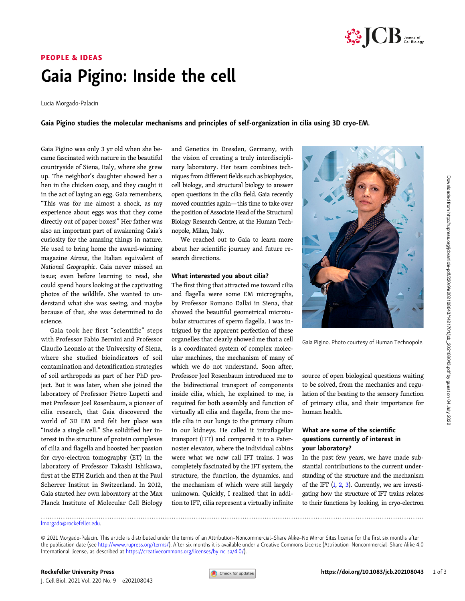

## PEOPLE & IDEAS Gaia Pigino: Inside the cell

Lucia Morgado-Palacin

Gaia Pigino studies the molecular mechanisms and principles of self-organization in cilia using 3D cryo-EM.

Gaia Pigino was only 3 yr old when she became fascinated with nature in the beautiful countryside of Siena, Italy, where she grew up. The neighbor's daughter showed her a hen in the chicken coop, and they caught it in the act of laying an egg. Gaia remembers, "This was for me almost a shock, as my experience about eggs was that they come directly out of paper boxes!" Her father was also an important part of awakening Gaia's curiosity for the amazing things in nature. He used to bring home the award-winning magazine Airone, the Italian equivalent of National Geographic. Gaia never missed an issue; even before learning to read, she could spend hours looking at the captivating photos of the wildlife. She wanted to understand what she was seeing, and maybe because of that, she was determined to do science.

Gaia took her first "scientific" steps with Professor Fabio Bernini and Professor Claudio Leonzio at the University of Siena, where she studied bioindicators of soil contamination and detoxification strategies of soil arthropods as part of her PhD project. But it was later, when she joined the laboratory of Professor Pietro Lupetti and met Professor Joel Rosenbaum, a pioneer of cilia research, that Gaia discovered the world of 3D EM and felt her place was "inside a single cell." She solidified her interest in the structure of protein complexes of cilia and flagella and boosted her passion for cryo-electron tomography (ET) in the laboratory of Professor Takashi Ishikawa, first at the ETH Zurich and then at the Paul Scherrer Institut in Switzerland. In 2012, Gaia started her own laboratory at the Max Planck Institute of Molecular Cell Biology

and Genetics in Dresden, Germany, with the vision of creating a truly interdisciplinary laboratory. Her team combines techniques from different fields such as biophysics, cell biology, and structural biology to answer open questions in the cilia field. Gaia recently moved countries again—this time to take over the position of Associate Head of the Structural Biology Research Centre, at the Human Technopole, Milan, Italy.

We reached out to Gaia to learn more about her scientific journey and future research directions.

#### What interested you about cilia?

The first thing that attracted me toward cilia and flagella were some EM micrographs, by Professor Romano Dallai in Siena, that showed the beautiful geometrical microtubular structures of sperm flagella. I was intrigued by the apparent perfection of these organelles that clearly showed me that a cell is a coordinated system of complex molecular machines, the mechanism of many of which we do not understand. Soon after, Professor Joel Rosenbaum introduced me to the bidirectional transport of components inside cilia, which, he explained to me, is required for both assembly and function of virtually all cilia and flagella, from the motile cilia in our lungs to the primary cilium in our kidneys. He called it intraflagellar transport (IFT) and compared it to a Paternoster elevator, where the individual cabins were what we now call IFT trains. I was completely fascinated by the IFT system, the structure, the function, the dynamics, and the mechanism of which were still largely unknown. Quickly, I realized that in addition to IFT, cilia represent a virtually infinite



Gaia Pigino. Photo courtesy of Human Technopole.

source of open biological questions waiting to be solved, from the mechanics and regulation of the beating to the sensory function of primary cilia, and their importance for human health.

#### What are some of the scientific questions currently of interest in your laboratory?

In the past few years, we have made substantial contributions to the current understanding of the structure and the mechanism of the IFT  $(1, 2, 3)$  $(1, 2, 3)$  $(1, 2, 3)$  $(1, 2, 3)$  $(1, 2, 3)$  $(1, 2, 3)$  $(1, 2, 3)$ . Currently, we are investigating how the structure of IFT trains relates to their functions by looking, in cryo-electron

<sup>.............................................................................................................................................................................</sup> [lmorgado@rockefeller.edu](mailto:lmorgado@rockefeller.edu).

<sup>© 2021</sup> Morgado-Palacin. This article is distributed under the terms of an Attribution–Noncommercial–Share Alike–No Mirror Sites license for the first six months after the publication date (see <http://www.rupress.org/terms/>). After six months it is available under a Creative Commons License (Attribution–Noncommercial–Share Alike 4.0 International license, as described at <https://creativecommons.org/licenses/by-nc-sa/4.0/>).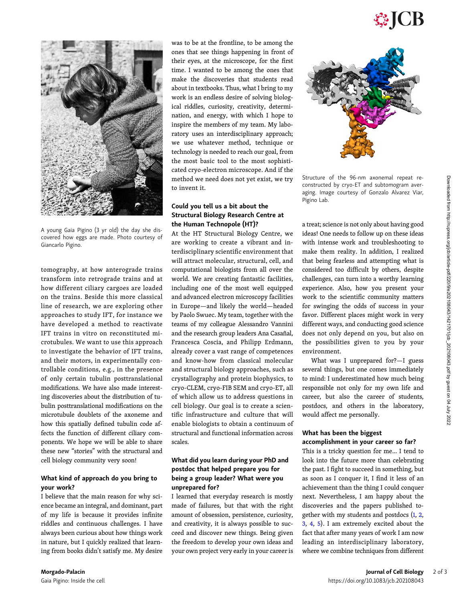# $\frac{83}{25}$  JCB



A young Gaia Pigino (3 yr old) the day she discovered how eggs are made. Photo courtesy of Giancarlo Pigino.

tomography, at how anterograde trains transform into retrograde trains and at how different ciliary cargoes are loaded on the trains. Beside this more classical line of research, we are exploring other approaches to study IFT, for instance we have developed a method to reactivate IFT trains in vitro on reconstituted microtubules. We want to use this approach to investigate the behavior of IFT trains, and their motors, in experimentally controllable conditions, e.g., in the presence of only certain tubulin posttranslational modifications. We have also made interesting discoveries about the distribution of tubulin posttranslational modifications on the microtubule doublets of the axoneme and how this spatially defined tubulin code affects the function of different ciliary components. We hope we will be able to share these new "stories" with the structural and cell biology community very soon!

#### What kind of approach do you bring to your work?

I believe that the main reason for why science became an integral, and dominant, part of my life is because it provides infinite riddles and continuous challenges. I have always been curious about how things work in nature, but I quickly realized that learning from books didn't satisfy me. My desire

was to be at the frontline, to be among the ones that see things happening in front of their eyes, at the microscope, for the first time. I wanted to be among the ones that make the discoveries that students read about in textbooks. Thus, what I bring to my work is an endless desire of solving biological riddles, curiosity, creativity, determination, and energy, with which I hope to inspire the members of my team. My laboratory uses an interdisciplinary approach; we use whatever method, technique or technology is needed to reach our goal, from the most basic tool to the most sophisticated cryo-electron microscope. And if the method we need does not yet exist, we try to invent it.

#### Could you tell us a bit about the Structural Biology Research Centre at the Human Technopole (HT)?

At the HT Structural Biology Centre, we are working to create a vibrant and interdisciplinary scientific environment that will attract molecular, structural, cell, and computational biologists from all over the world. We are creating fantastic facilities, including one of the most well equipped and advanced electron microscopy facilities in Europe—and likely the world—headed by Paolo Swuec. My team, together with the teams of my colleague Alessandro Vannini and the research group leaders Ana Casañal, Francesca Coscia, and Philipp Erdmann, already cover a vast range of competences and know-how from classical molecular and structural biology approaches, such as crystallography and protein biophysics, to cryo-CLEM, cryo-FIB SEM and cryo-ET, all of which allow us to address questions in cell biology. Our goal is to create a scientific infrastructure and culture that will enable biologists to obtain a continuum of structural and functional information across scales.

#### What did you learn during your PhD and postdoc that helped prepare you for being a group leader? What were you unprepared for?

I learned that everyday research is mostly made of failures, but that with the right amount of obsession, persistence, curiosity, and creativity, it is always possible to succeed and discover new things. Being given the freedom to develop your own ideas and your own project very early in your career is



Structure of the 96-nm axonemal repeat reconstructed by cryo-ET and subtomogram averaging. Image courtesy of Gonzalo Alvarez Viar, Pigino Lab.

a treat; science is not only about having good ideas! One needs to follow up on these ideas with intense work and troubleshooting to make them reality. In addition, I realized that being fearless and attempting what is considered too difficult by others, despite challenges, can turn into a worthy learning experience. Also, how you present your work to the scientific community matters for swinging the odds of success in your favor. Different places might work in very different ways, and conducting good science does not only depend on you, but also on the possibilities given to you by your environment.

What was I unprepared for?—I guess several things, but one comes immediately to mind: I underestimated how much being responsible not only for my own life and career, but also the career of students, postdocs, and others in the laboratory, would affect me personally.

#### What has been the biggest accomplishment in your career so far?

This is a tricky question for me... I tend to look into the future more than celebrating the past. I fight to succeed in something, but as soon as I conquer it, I find it less of an achievement than the thing I could conquer next. Nevertheless, I am happy about the discoveries and the papers published together with my students and postdocs ([1,](#page-2-0) [2,](#page-2-0) [3](#page-2-0), [4](#page-2-0), [5](#page-2-0)). I am extremely excited about the fact that after many years of work I am now leading an interdisciplinary laboratory, where we combine techniques from different